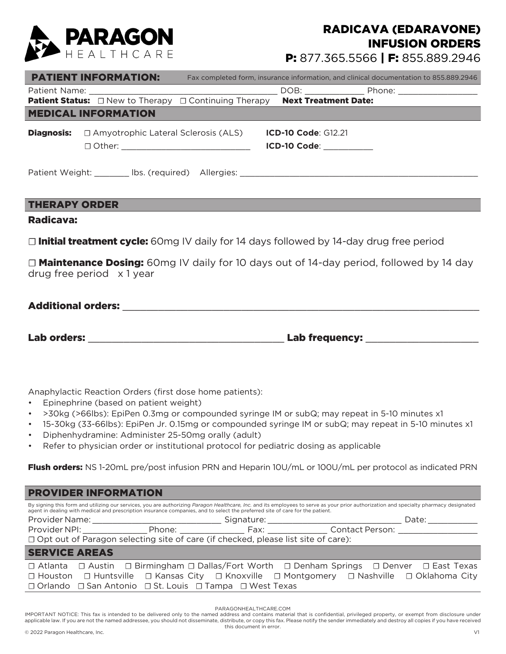

## RADICAVA (EDARAVONE) INFUSION ORDERS

P: 877.365.5566 | F: 855.889.2946

|                                                                                                                                          | <b>PATIENT INFORMATION:</b>                |  |                            | Fax completed form, insurance information, and clinical documentation to 855.889.2946 |  |  |  |  |
|------------------------------------------------------------------------------------------------------------------------------------------|--------------------------------------------|--|----------------------------|---------------------------------------------------------------------------------------|--|--|--|--|
|                                                                                                                                          |                                            |  |                            |                                                                                       |  |  |  |  |
| <b>Patient Status:</b> □ New to Therapy □ Continuing Therapy Next Treatment Date:                                                        |                                            |  |                            |                                                                                       |  |  |  |  |
|                                                                                                                                          | <b>MEDICAL INFORMATION</b>                 |  |                            |                                                                                       |  |  |  |  |
| <b>Diagnosis:</b>                                                                                                                        | $\Box$ Amyotrophic Lateral Sclerosis (ALS) |  | <b>ICD-10 Code: G12.21</b> |                                                                                       |  |  |  |  |
|                                                                                                                                          |                                            |  | ICD-10 Code: __________    |                                                                                       |  |  |  |  |
| Patient Weight: ________ lbs. (required) Allergies: _____________________________<br><b>THERAPY ORDER</b>                                |                                            |  |                            |                                                                                       |  |  |  |  |
| Radicava:                                                                                                                                |                                            |  |                            |                                                                                       |  |  |  |  |
| $\Box$ Initial treatment cycle: 60mg IV daily for 14 days followed by 14-day drug free period                                            |                                            |  |                            |                                                                                       |  |  |  |  |
| $\Box$ <b>Maintenance Dosing:</b> 60mg IV daily for 10 days out of 14-day period, followed by 14 day<br>drug free period $\times$ 1 year |                                            |  |                            |                                                                                       |  |  |  |  |

## Additional orders:

Lab orders: \_\_\_\_\_\_\_\_\_\_\_\_\_\_\_\_\_\_\_\_\_\_\_\_\_\_\_\_\_\_\_\_\_ Lab frequency: \_\_\_\_\_\_\_\_\_\_\_\_\_\_\_\_\_\_\_

Anaphylactic Reaction Orders (first dose home patients):

- Epinephrine (based on patient weight)
- >30kg (>66lbs): EpiPen 0.3mg or compounded syringe IM or subQ; may repeat in 5-10 minutes x1
- 15-30kg (33-66lbs): EpiPen Jr. 0.15mg or compounded syringe IM or subQ; may repeat in 5-10 minutes x1
- Diphenhydramine: Administer 25-50mg orally (adult)
- Refer to physician order or institutional protocol for pediatric dosing as applicable

Flush orders: NS 1-20mL pre/post infusion PRN and Heparin 10U/mL or 100U/mL per protocol as indicated PRN

| <b>PROVIDER INFORMATION</b>                                                                                                                                                                                                                                                                                             |  |  |  |       |  |  |  |  |
|-------------------------------------------------------------------------------------------------------------------------------------------------------------------------------------------------------------------------------------------------------------------------------------------------------------------------|--|--|--|-------|--|--|--|--|
| By signing this form and utilizing our services, you are authorizing Paragon Healthcare, Inc. and its employees to serve as your prior authorization and specialty pharmacy designated<br>agent in dealing with medical and prescription insurance companies, and to select the preferred site of care for the patient. |  |  |  |       |  |  |  |  |
|                                                                                                                                                                                                                                                                                                                         |  |  |  | Date: |  |  |  |  |
| Provider NPI: Phone: Fax: Contact Person:                                                                                                                                                                                                                                                                               |  |  |  |       |  |  |  |  |
| □ Opt out of Paragon selecting site of care (if checked, please list site of care):                                                                                                                                                                                                                                     |  |  |  |       |  |  |  |  |
| <b>SERVICE AREAS</b>                                                                                                                                                                                                                                                                                                    |  |  |  |       |  |  |  |  |
| $\Box$ Atlanta $\Box$ Austin $\Box$ Birmingham $\Box$ Dallas/Fort Worth $\Box$ Denham Springs $\Box$ Denver $\Box$ East Texas                                                                                                                                                                                           |  |  |  |       |  |  |  |  |
| □ Houston □ Huntsville □ Kansas City □ Knoxville □ Montgomery □ Nashville □ Oklahoma City                                                                                                                                                                                                                               |  |  |  |       |  |  |  |  |
| □ Orlando □ San Antonio □ St. Louis □ Tampa □ West Texas                                                                                                                                                                                                                                                                |  |  |  |       |  |  |  |  |

PARAGONHEALTHCARE.COM

IMPORTANT NOTICE: This fax is intended to be delivered only to the named address and contains material that is confidential, privileged property, or exempt from disclosure under applicable law. If you are not the named addressee, you should not disseminate, distribute, or copy this fax. Please notify the sender immediately and destroy all copies if you have received